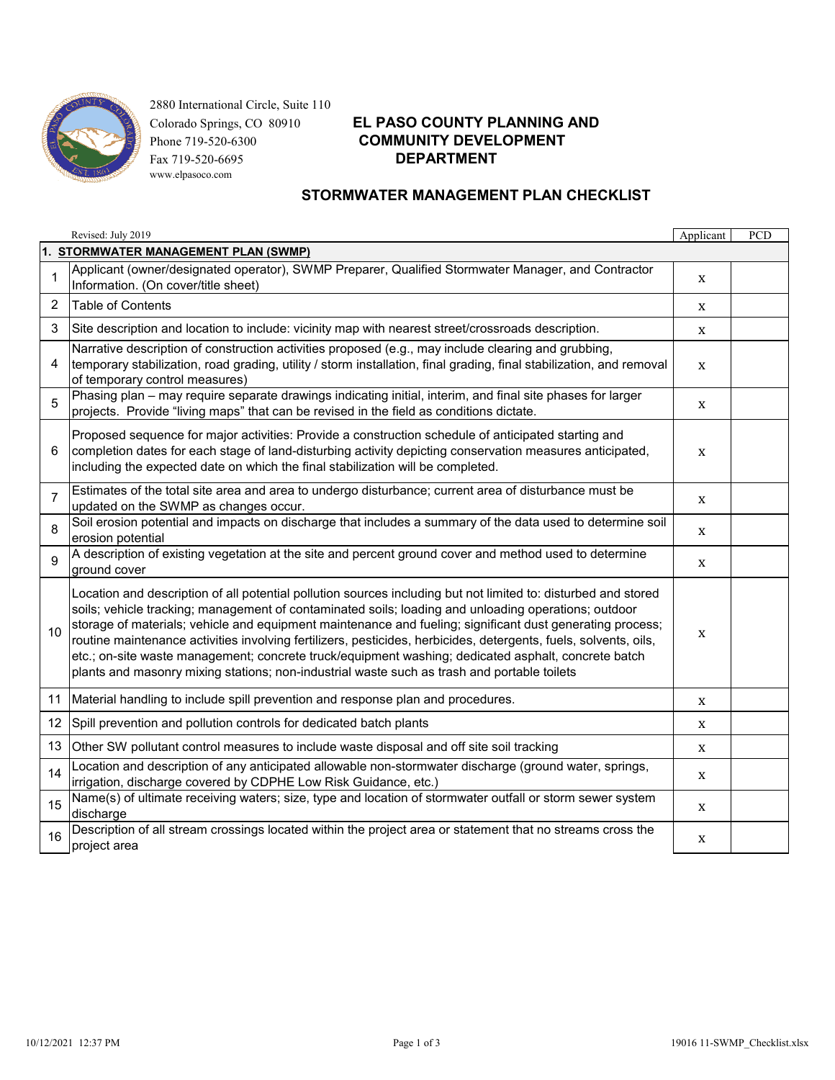

 2880 International Circle, Suite 110 Fax 719-520-6695 **DEPARTMENT**www.elpasoco.com

# Colorado Springs, CO 80910 **EL PASO COUNTY PLANNING AND** Phone 719-520-6300 **COMMUNITY DEVELOPMENT**

### **STORMWATER MANAGEMENT PLAN CHECKLIST**

|                                      | Revised: July 2019                                                                                                                                                                                                                                                                                                                                                                                                                                                                                                                                                                                                                                            | Applicant | PCD |  |  |  |
|--------------------------------------|---------------------------------------------------------------------------------------------------------------------------------------------------------------------------------------------------------------------------------------------------------------------------------------------------------------------------------------------------------------------------------------------------------------------------------------------------------------------------------------------------------------------------------------------------------------------------------------------------------------------------------------------------------------|-----------|-----|--|--|--|
| 1. STORMWATER MANAGEMENT PLAN (SWMP) |                                                                                                                                                                                                                                                                                                                                                                                                                                                                                                                                                                                                                                                               |           |     |  |  |  |
| $\mathbf{1}$                         | Applicant (owner/designated operator), SWMP Preparer, Qualified Stormwater Manager, and Contractor<br>Information. (On cover/title sheet)                                                                                                                                                                                                                                                                                                                                                                                                                                                                                                                     | X         |     |  |  |  |
| 2                                    | <b>Table of Contents</b>                                                                                                                                                                                                                                                                                                                                                                                                                                                                                                                                                                                                                                      | X         |     |  |  |  |
| 3                                    | Site description and location to include: vicinity map with nearest street/crossroads description.                                                                                                                                                                                                                                                                                                                                                                                                                                                                                                                                                            | X         |     |  |  |  |
| 4                                    | Narrative description of construction activities proposed (e.g., may include clearing and grubbing,<br>temporary stabilization, road grading, utility / storm installation, final grading, final stabilization, and removal<br>of temporary control measures)                                                                                                                                                                                                                                                                                                                                                                                                 | X         |     |  |  |  |
| 5                                    | Phasing plan - may require separate drawings indicating initial, interim, and final site phases for larger<br>projects. Provide "living maps" that can be revised in the field as conditions dictate.                                                                                                                                                                                                                                                                                                                                                                                                                                                         | X         |     |  |  |  |
| 6                                    | Proposed sequence for major activities: Provide a construction schedule of anticipated starting and<br>completion dates for each stage of land-disturbing activity depicting conservation measures anticipated,<br>including the expected date on which the final stabilization will be completed.                                                                                                                                                                                                                                                                                                                                                            | X         |     |  |  |  |
| $\overline{7}$                       | Estimates of the total site area and area to undergo disturbance; current area of disturbance must be<br>updated on the SWMP as changes occur.                                                                                                                                                                                                                                                                                                                                                                                                                                                                                                                | X         |     |  |  |  |
| 8                                    | Soil erosion potential and impacts on discharge that includes a summary of the data used to determine soil<br>erosion potential                                                                                                                                                                                                                                                                                                                                                                                                                                                                                                                               | X         |     |  |  |  |
| $\mathbf{Q}$                         | A description of existing vegetation at the site and percent ground cover and method used to determine<br>ground cover                                                                                                                                                                                                                                                                                                                                                                                                                                                                                                                                        | X         |     |  |  |  |
| 10                                   | Location and description of all potential pollution sources including but not limited to: disturbed and stored<br>soils; vehicle tracking; management of contaminated soils; loading and unloading operations; outdoor<br>storage of materials; vehicle and equipment maintenance and fueling; significant dust generating process;<br>routine maintenance activities involving fertilizers, pesticides, herbicides, detergents, fuels, solvents, oils,<br>etc.; on-site waste management; concrete truck/equipment washing; dedicated asphalt, concrete batch<br>plants and masonry mixing stations; non-industrial waste such as trash and portable toilets | X         |     |  |  |  |
| 11                                   | Material handling to include spill prevention and response plan and procedures.                                                                                                                                                                                                                                                                                                                                                                                                                                                                                                                                                                               | X         |     |  |  |  |
| 12 <sup>°</sup>                      | Spill prevention and pollution controls for dedicated batch plants                                                                                                                                                                                                                                                                                                                                                                                                                                                                                                                                                                                            | X         |     |  |  |  |
| 13                                   | Other SW pollutant control measures to include waste disposal and off site soil tracking                                                                                                                                                                                                                                                                                                                                                                                                                                                                                                                                                                      | X         |     |  |  |  |
| 14                                   | Location and description of any anticipated allowable non-stormwater discharge (ground water, springs,<br>irrigation, discharge covered by CDPHE Low Risk Guidance, etc.)                                                                                                                                                                                                                                                                                                                                                                                                                                                                                     | X         |     |  |  |  |
| 15                                   | Name(s) of ultimate receiving waters; size, type and location of stormwater outfall or storm sewer system<br>discharge                                                                                                                                                                                                                                                                                                                                                                                                                                                                                                                                        | X         |     |  |  |  |
| 16                                   | Description of all stream crossings located within the project area or statement that no streams cross the<br>project area                                                                                                                                                                                                                                                                                                                                                                                                                                                                                                                                    | X         |     |  |  |  |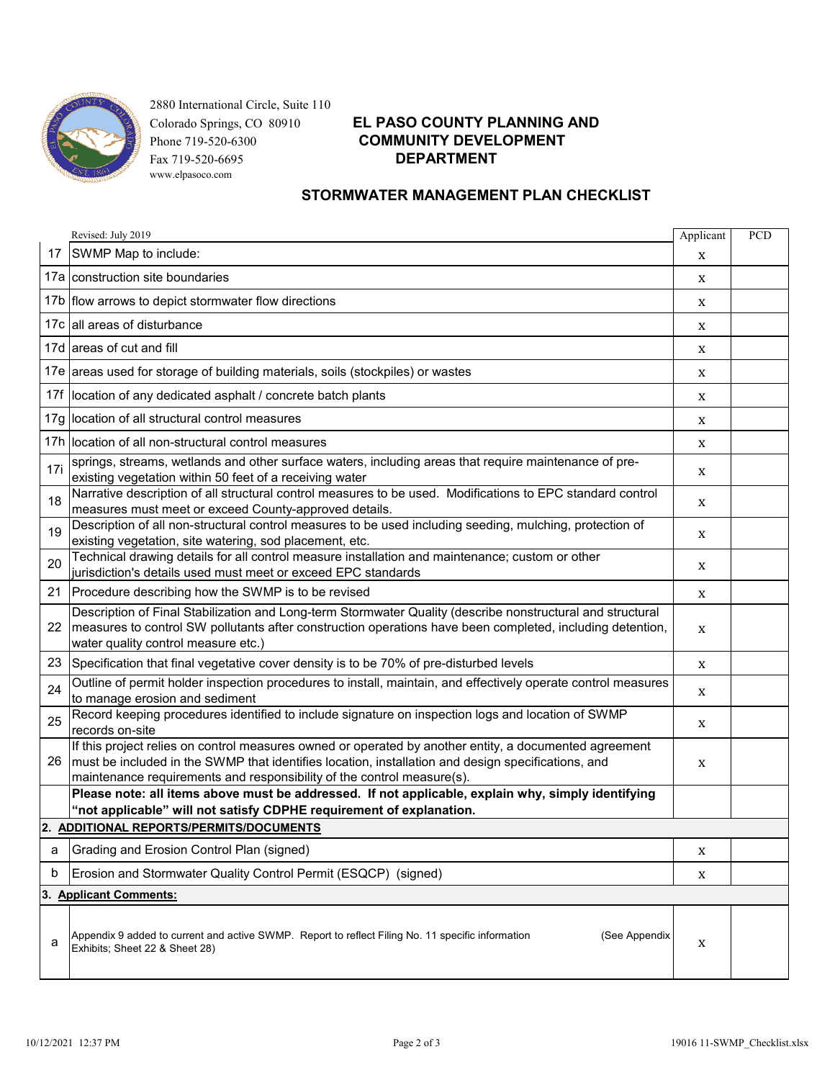

 2880 International Circle, Suite 110 Fax 719-520-6695 **DEPARTMENT**www.elpasoco.com

# Colorado Springs, CO 80910 **EL PASO COUNTY PLANNING AND** Phone 719-520-6300 **COMMUNITY DEVELOPMENT**

### **STORMWATER MANAGEMENT PLAN CHECKLIST**

|                                  | Revised: July 2019                                                                                                                                                                                                                                                                     | Applicant | PCD |
|----------------------------------|----------------------------------------------------------------------------------------------------------------------------------------------------------------------------------------------------------------------------------------------------------------------------------------|-----------|-----|
| 17                               | SWMP Map to include:                                                                                                                                                                                                                                                                   | X         |     |
|                                  | 17a construction site boundaries                                                                                                                                                                                                                                                       | X         |     |
|                                  | 17b   flow arrows to depict stormwater flow directions                                                                                                                                                                                                                                 | X         |     |
|                                  | 17c all areas of disturbance                                                                                                                                                                                                                                                           | X         |     |
|                                  | 17d areas of cut and fill                                                                                                                                                                                                                                                              | X         |     |
|                                  | 17e areas used for storage of building materials, soils (stockpiles) or wastes                                                                                                                                                                                                         | X         |     |
|                                  | 17f location of any dedicated asphalt / concrete batch plants                                                                                                                                                                                                                          | X         |     |
|                                  | 17g location of all structural control measures                                                                                                                                                                                                                                        | X         |     |
|                                  | 17h location of all non-structural control measures                                                                                                                                                                                                                                    | X         |     |
| 17i                              | springs, streams, wetlands and other surface waters, including areas that require maintenance of pre-<br>existing vegetation within 50 feet of a receiving water                                                                                                                       | X         |     |
| 18                               | Narrative description of all structural control measures to be used. Modifications to EPC standard control<br>measures must meet or exceed County-approved details.                                                                                                                    | X         |     |
| 19                               | Description of all non-structural control measures to be used including seeding, mulching, protection of<br>existing vegetation, site watering, sod placement, etc.                                                                                                                    | X         |     |
| 20                               | Technical drawing details for all control measure installation and maintenance; custom or other<br>jurisdiction's details used must meet or exceed EPC standards                                                                                                                       | X         |     |
| 21                               | Procedure describing how the SWMP is to be revised                                                                                                                                                                                                                                     | X         |     |
| 22                               | Description of Final Stabilization and Long-term Stormwater Quality (describe nonstructural and structural<br>measures to control SW pollutants after construction operations have been completed, including detention,<br>water quality control measure etc.)                         | X         |     |
| 23                               | Specification that final vegetative cover density is to be 70% of pre-disturbed levels                                                                                                                                                                                                 | X         |     |
| 24                               | Outline of permit holder inspection procedures to install, maintain, and effectively operate control measures<br>to manage erosion and sediment                                                                                                                                        | X         |     |
| 25                               | Record keeping procedures identified to include signature on inspection logs and location of SWMP<br>records on-site                                                                                                                                                                   | X         |     |
| 26                               | If this project relies on control measures owned or operated by another entity, a documented agreement<br>must be included in the SWMP that identifies location, installation and design specifications, and<br>maintenance requirements and responsibility of the control measure(s). | X         |     |
|                                  | Please note: all items above must be addressed. If not applicable, explain why, simply identifying<br>"not applicable" will not satisfy CDPHE requirement of explanation.                                                                                                              |           |     |
|                                  | 2. ADDITIONAL REPORTS/PERMITS/DOCUMENTS                                                                                                                                                                                                                                                |           |     |
| а                                | Grading and Erosion Control Plan (signed)                                                                                                                                                                                                                                              | X         |     |
| b                                | Erosion and Stormwater Quality Control Permit (ESQCP) (signed)                                                                                                                                                                                                                         | X         |     |
| <b>Applicant Comments:</b><br>3. |                                                                                                                                                                                                                                                                                        |           |     |
| a                                | Appendix 9 added to current and active SWMP. Report to reflect Filing No. 11 specific information<br>(See Appendix<br>Exhibits; Sheet 22 & Sheet 28)                                                                                                                                   | X         |     |